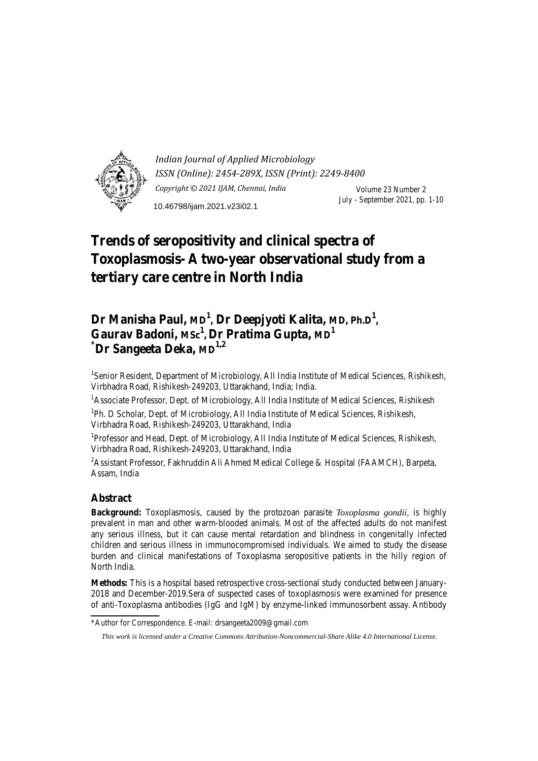

*Indian Journal of Applied Microbiology ISSN (Online): 2454-289X, ISSN (Print): 2249-8400 Copyright © 2021 IJAM, Chennai, India* Volume 23 Number 2 July - September 2021, pp. 1-10 10.46798/ijam.2021.v23i02.1

# **Trends of seropositivity and clinical spectra of Toxoplasmosis- A two-year observational study from a tertiary care centre in North India**

## Dr Manisha Paul, MD<sup>1</sup>, Dr Deepjyoti Kalita, MD, Ph.D<sup>1</sup>, Gaurav Badoni, Msc<sup>1</sup>, Dr Pratima Gupta, MD<sup>1</sup>  $^*$ **Dr Sangeeta Deka, MD**<sup>1,2</sup>

<sup>1</sup>Senior Resident, Department of Microbiology, All India Institute of Medical Sciences, Rishikesh, Virbhadra Road, Rishikesh-249203, Uttarakhand, India; India.

<sup>1</sup> Associate Professor, Dept. of Microbiology, All India Institute of Medical Sciences, Rishikesh

<sup>1</sup>Ph. D Scholar, Dept. of Microbiology, All India Institute of Medical Sciences, Rishikesh, Virbhadra Road, Rishikesh-249203, Uttarakhand, India

<sup>1</sup>Professor and Head, Dept. of Microbiology, All India Institute of Medical Sciences, Rishikesh, Virbhadra Road, Rishikesh-249203, Uttarakhand, India

<sup>2</sup> Assistant Professor, Fakhruddin Ali Ahmed Medical College & Hospital (FAAMCH), Barpeta, Assam, India

## **Abstract**

**Background:** Toxoplasmosis, caused by the protozoan parasite *Toxoplasma gondii*, is highly prevalent in man and other warm-blooded animals. Most of the affected adults do not manifest any serious illness, but it can cause mental retardation and blindness in congenitally infected children and serious illness in immunocompromised individuals. We aimed to study the disease burden and clinical manifestations of Toxoplasma seropositive patients in the hilly region of North India.

**Methods:** This is a hospital based retrospective cross-sectional study conducted between January-2018 and December-2019.Sera of suspected cases of toxoplasmosis were examined for presence of anti-Toxoplasma antibodies (IgG and IgM) by enzyme-linked immunosorbent assay. Antibody

<sup>\*</sup>Author for Correspondence. E-mail: drsangeeta2009@gmail.com

*This work is licensed under a Creative Commons Attribution-Noncommercial-Share Alike 4.0 International License.*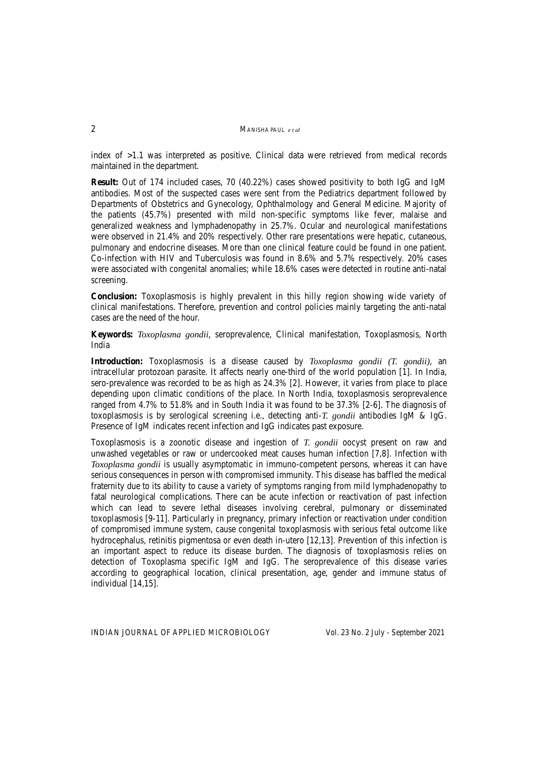index of >1.1 was interpreted as positive. Clinical data were retrieved from medical records maintained in the department.

**Result:** Out of 174 included cases, 70 (40.22%) cases showed positivity to both IgG and IgM antibodies. Most of the suspected cases were sent from the Pediatrics department followed by Departments of Obstetrics and Gynecology, Ophthalmology and General Medicine. Majority of the patients (45.7%) presented with mild non-specific symptoms like fever, malaise and generalized weakness and lymphadenopathy in 25.7%. Ocular and neurological manifestations were observed in 21.4% and 20% respectively. Other rare presentations were hepatic, cutaneous, pulmonary and endocrine diseases. More than one clinical feature could be found in one patient. Co-infection with HIV and Tuberculosis was found in 8.6% and 5.7% respectively. 20% cases were associated with congenital anomalies; while 18.6% cases were detected in routine anti-natal screening.

**Conclusion:** Toxoplasmosis is highly prevalent in this hilly region showing wide variety of clinical manifestations. Therefore, prevention and control policies mainly targeting the anti-natal cases are the need of the hour.

**Keywords:** *Toxoplasma gondii,* seroprevalence, Clinical manifestation, Toxoplasmosis, North India

**Introduction:** Toxoplasmosis is a disease caused by *Toxoplasma gondii (T. gondii)*, an intracellular protozoan parasite. It affects nearly one-third of the world population [1]. In India, sero-prevalence was recorded to be as high as 24.3% [2]. However, it varies from place to place depending upon climatic conditions of the place. In North India, toxoplasmosis seroprevalence ranged from 4.7% to 51.8% and in South India it was found to be 37.3% [2-6]. The diagnosis of toxoplasmosis is by serological screening i.e., detecting anti-*T. gondii* antibodies IgM & IgG. Presence of IgM indicates recent infection and IgG indicates past exposure.

Toxoplasmosis is a zoonotic disease and ingestion of *T. gondii* oocyst present on raw and unwashed vegetables or raw or undercooked meat causes human infection [7,8]. Infection with *Toxoplasma gondii* is usually asymptomatic in immuno-competent persons, whereas it can have serious consequences in person with compromised immunity. This disease has baffled the medical fraternity due to its ability to cause a variety of symptoms ranging from mild lymphadenopathy to fatal neurological complications. There can be acute infection or reactivation of past infection which can lead to severe lethal diseases involving cerebral, pulmonary or disseminated toxoplasmosis [9-11]. Particularly in pregnancy, primary infection or reactivation under condition of compromised immune system, cause congenital toxoplasmosis with serious fetal outcome like hydrocephalus, retinitis pigmentosa or even death in-utero [12,13]. Prevention of this infection is an important aspect to reduce its disease burden. The diagnosis of toxoplasmosis relies on detection of Toxoplasma specific IgM and IgG. The seroprevalence of this disease varies according to geographical location, clinical presentation, age, gender and immune status of individual [14,15].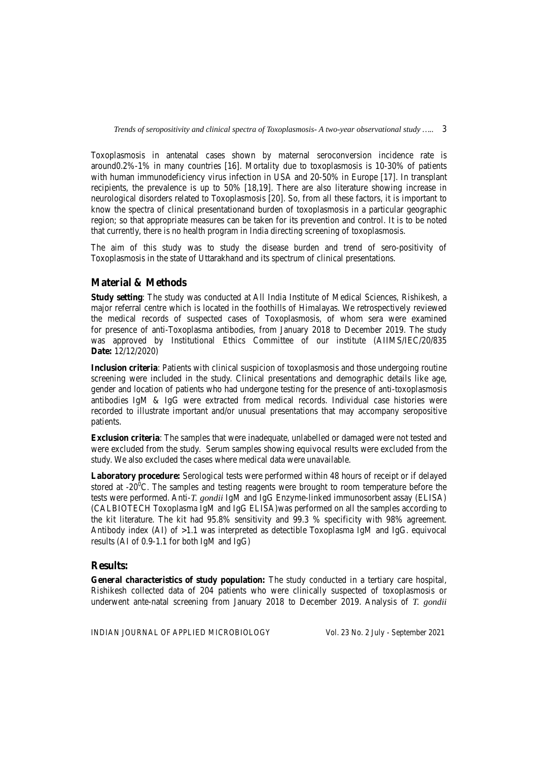Toxoplasmosis in antenatal cases shown by maternal seroconversion incidence rate is around0.2%-1% in many countries [16]. Mortality due to toxoplasmosis is 10-30% of patients with human immunodeficiency virus infection in USA and 20-50% in Europe [17]. In transplant recipients, the prevalence is up to 50% [18,19]. There are also literature showing increase in neurological disorders related to Toxoplasmosis [20]. So, from all these factors, it is important to know the spectra of clinical presentationand burden of toxoplasmosis in a particular geographic region; so that appropriate measures can be taken for its prevention and control. It is to be noted that currently, there is no health program in India directing screening of toxoplasmosis.

The aim of this study was to study the disease burden and trend of sero-positivity of Toxoplasmosis in the state of Uttarakhand and its spectrum of clinical presentations.

## **Material & Methods**

**Study setting**: The study was conducted at All India Institute of Medical Sciences, Rishikesh, a major referral centre which is located in the foothills of Himalayas. We retrospectively reviewed the medical records of suspected cases of Toxoplasmosis, of whom sera were examined for presence of anti-Toxoplasma antibodies, from January 2018 to December 2019. The study was approved by Institutional Ethics Committee of our institute (AIIMS/IEC/20/835 **Date:** 12/12/2020)

**Inclusion criteria**: Patients with clinical suspicion of toxoplasmosis and those undergoing routine screening were included in the study. Clinical presentations and demographic details like age, gender and location of patients who had undergone testing for the presence of anti-toxoplasmosis antibodies IgM & IgG were extracted from medical records. Individual case histories were recorded to illustrate important and/or unusual presentations that may accompany seropositive patients.

**Exclusion criteria**: The samples that were inadequate, unlabelled or damaged were not tested and were excluded from the study. Serum samples showing equivocal results were excluded from the study. We also excluded the cases where medical data were unavailable.

**Laboratory procedure:** Serological tests were performed within 48 hours of receipt or if delayed stored at  $-20^{\circ}$ C. The samples and testing reagents were brought to room temperature before the tests were performed. Anti-*T. gondii* IgM and IgG Enzyme-linked immunosorbent assay (ELISA) (CALBIOTECH Toxoplasma IgM and IgG ELISA)was performed on all the samples according to the kit literature. The kit had 95.8% sensitivity and 99.3 % specificity with 98% agreement. Antibody index (AI) of >1.1 was interpreted as detectible Toxoplasma IgM and IgG. equivocal results (AI of 0.9-1.1 for both IgM and IgG)

## **Results:**

**General characteristics of study population:** The study conducted in a tertiary care hospital, Rishikesh collected data of 204 patients who were clinically suspected of toxoplasmosis or underwent ante-natal screening from January 2018 to December 2019. Analysis of *T. gondii*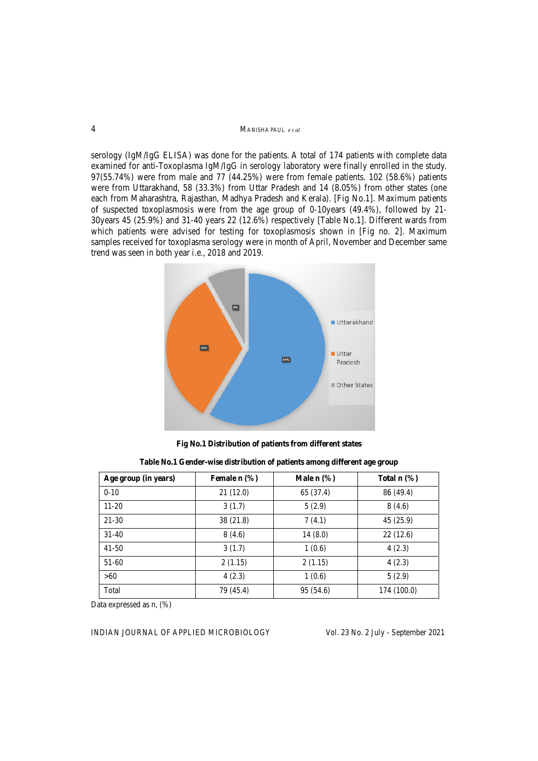#### M MANISHA PAUL *e t al*

serology (IgM/IgG ELISA) was done for the patients. A total of 174 patients with complete data examined for anti-Toxoplasma IgM/IgG in serology laboratory were finally enrolled in the study. 97(55.74%) were from male and 77 (44.25%) were from female patients. 102 (58.6%) patients were from Uttarakhand, 58 (33.3%) from Uttar Pradesh and 14 (8.05%) from other states (one each from Maharashtra, Rajasthan, Madhya Pradesh and Kerala). [Fig No.1]. Maximum patients of suspected toxoplasmosis were from the age group of 0-10years (49.4%), followed by 21-30 years 45 (25.9%) and 31-40 years 22 (12.6%) respectively [Table No.1]. Different wards from which patients were advised for testing for toxoplasmosis shown in [Fig no. 2]. Maximum samples received for toxoplasma serology were in month of April, November and December same trend was seen in both year i.e., 2018 and 2019.



Fig No.1 Distribution of patients from different states

| Table No.1 Gender-wise distribution of patients among different age group |  |  |
|---------------------------------------------------------------------------|--|--|
|---------------------------------------------------------------------------|--|--|

| Age group (in years) | Female $n$ $(\%)$ | Male $n$ $\%$ ) | Total $n$ $\%$ ) |
|----------------------|-------------------|-----------------|------------------|
| $0 - 10$             | 21(12.0)          | 65 (37.4)       | 86 (49.4)        |
| $11 - 20$            | 3(1.7)            | 5(2.9)          | 8(4.6)           |
| 21-30                | 38(21.8)          | 7(4.1)          | 45(25.9)         |
| $31-40$              | 8(4.6)            | 14(8.0)         | 22(12.6)         |
| $41 - 50$            | 3(1.7)            | 1(0.6)          | 4(2.3)           |
| $51-60$              | 2(1.15)           | 2(1.15)         | 4(2.3)           |
| >60                  | 4(2.3)            | 1(0.6)          | 5(2.9)           |
| Total                | 79 (45.4)         | 95 (54.6)       | 174 (100.0)      |

Data expressed as n,  $(\%)$ 

INDIAN JOURNAL OF APPLIED MICROBIOLOGY

Vol. 23 No. 2 July - September 2021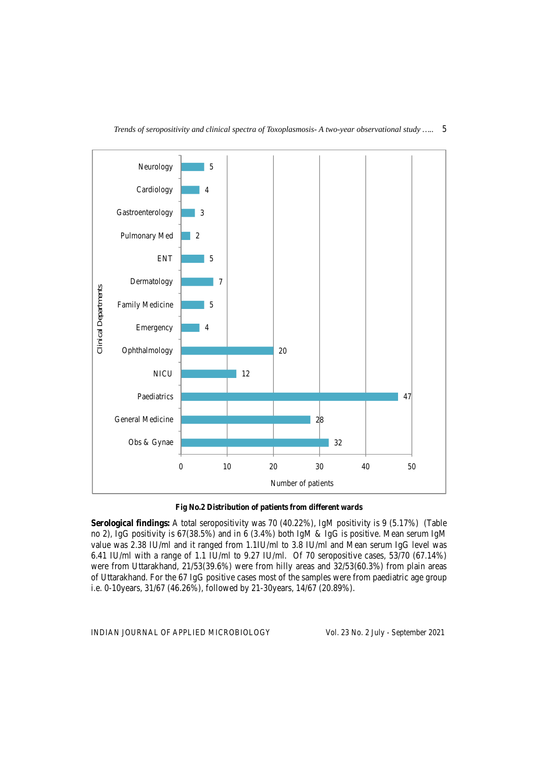



**Fig No.2 Distribution of patients from different wards** 

**Serological findings:** A total seropositivity was 70 (40.22%), IgM positivity is 9 (5.17%) (Table no 2), IgG positivity is 67(38.5%) and in 6 (3.4%) both IgM & IgG is positive. Mean serum IgM value was 2.38 IU/ml and it ranged from 1.1IU/ml to 3.8 IU/ml and Mean serum IgG level was 6.41 IU/ml with a range of 1.1 IU/ml to 9.27 IU/ml. Of 70 seropositive cases, 53/70 (67.14%) were from Uttarakhand, 21/53(39.6%) were from hilly areas and 32/53(60.3%) from plain areas of Uttarakhand. For the 67 IgG positive cases most of the samples were from paediatric age group i.e. 0-10years, 31/67 (46.26%), followed by 21-30years, 14/67 (20.89%).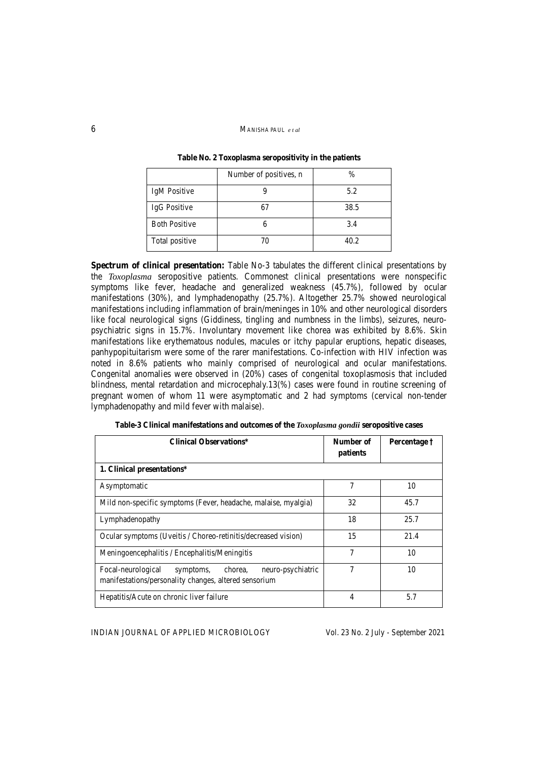#### 6MANISHA PAUL *e t al*

|                      | Number of positives, n | %    |
|----------------------|------------------------|------|
| IgM Positive         |                        | 5.2  |
| IgG Positive         | 67                     | 38.5 |
| <b>Both Positive</b> |                        | 3.4  |
| Total positive       | 70                     | 40.2 |

**Table No. 2 Toxoplasma seropositivity in the patients** 

**Spectrum of clinical presentation:** Table No-3 tabulates the different clinical presentations by the *Toxoplasma* seropositive patients. Commonest clinical presentations were nonspecific symptoms like fever, headache and generalized weakness (45.7%), followed by ocular manifestations (30%), and lymphadenopathy (25.7%). Altogether 25.7% showed neurological manifestations including inflammation of brain/meninges in 10% and other neurological disorders like focal neurological signs (Giddiness, tingling and numbness in the limbs), seizures, neuropsychiatric signs in 15.7%. Involuntary movement like chorea was exhibited by 8.6%. Skin manifestations like erythematous nodules, macules or itchy papular eruptions, hepatic diseases, panhypopituitarism were some of the rarer manifestations. Co-infection with HIV infection was noted in 8.6% patients who mainly comprised of neurological and ocular manifestations. Congenital anomalies were observed in (20%) cases of congenital toxoplasmosis that included blindness, mental retardation and microcephaly.13(%) cases were found in routine screening of pregnant women of whom 11 were asymptomatic and 2 had symptoms (cervical non-tender lymphadenopathy and mild fever with malaise).

| <b>Clinical Observations*</b>                                                                                            | Number of<br>patients | Percentage † |
|--------------------------------------------------------------------------------------------------------------------------|-----------------------|--------------|
| 1. Clinical presentations*                                                                                               |                       |              |
| Asymptomatic                                                                                                             | 7                     | 10           |
| Mild non-specific symptoms (Fever, headache, malaise, myalgia)                                                           | 32                    | 45.7         |
| Lymphadenopathy                                                                                                          | 18                    | 25.7         |
| Ocular symptoms (Uveitis / Choreo-retinitis/decreased vision)                                                            | 15                    | 21.4         |
| Meningoencephalitis / Encephalitis/Meningitis                                                                            | 7                     | 10           |
| Focal-neurological<br>neuro-psychiatric<br>chorea,<br>symptoms,<br>manifestations/personality changes, altered sensorium | 7                     | 10           |
| Hepatitis/Acute on chronic liver failure                                                                                 | 4                     | 5.7          |

**Table-3 Clinical manifestations and outcomes of the** *Toxoplasma gondii* **seropositive cases**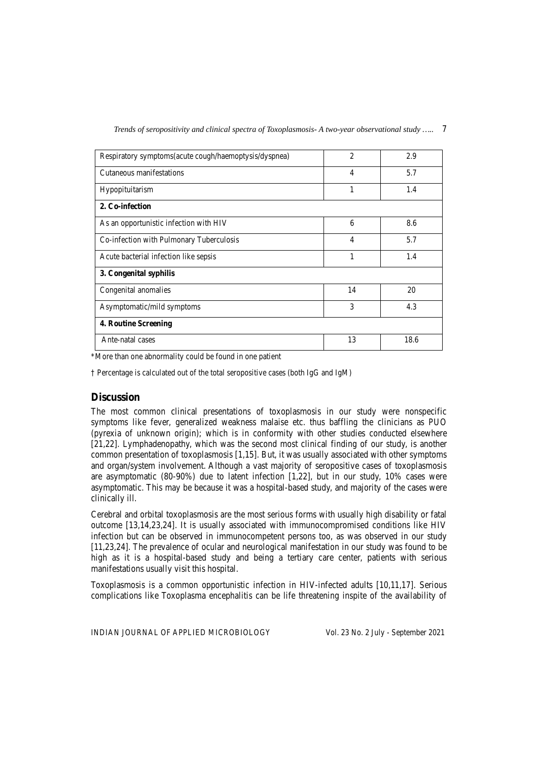|  | Trends of seropositivity and clinical spectra of Toxoplasmosis- A two-year observational study |  |  |
|--|------------------------------------------------------------------------------------------------|--|--|
|--|------------------------------------------------------------------------------------------------|--|--|

| Respiratory symptoms(acute cough/haemoptysis/dyspnea) | 2              | 2.9  |  |
|-------------------------------------------------------|----------------|------|--|
| Cutaneous manifestations                              | $\overline{4}$ | 5.7  |  |
| Hypopituitarism                                       | 1              | 1.4  |  |
| 2. Co-infection                                       |                |      |  |
| As an opportunistic infection with HIV                | 6              | 8.6  |  |
| Co-infection with Pulmonary Tuberculosis              | 4              | 5.7  |  |
| Acute bacterial infection like sepsis                 | 1              | 1.4  |  |
| 3. Congenital syphilis                                |                |      |  |
| Congenital anomalies                                  | 14             | 20   |  |
| Asymptomatic/mild symptoms                            | 3              | 4.3  |  |
| 4. Routine Screening                                  |                |      |  |
| Ante-natal cases                                      | 13             | 18.6 |  |

\*More than one abnormality could be found in one patient

† Percentage is calculated out of the total seropositive cases (both IgG and IgM)

## **Discussion**

The most common clinical presentations of toxoplasmosis in our study were nonspecific symptoms like fever, generalized weakness malaise etc. thus baffling the clinicians as PUO (pyrexia of unknown origin); which is in conformity with other studies conducted elsewhere [21,22]. Lymphadenopathy, which was the second most clinical finding of our study, is another common presentation of toxoplasmosis [1,15]. But, it was usually associated with other symptoms and organ/system involvement. Although a vast majority of seropositive cases of toxoplasmosis are asymptomatic (80-90%) due to latent infection [1,22], but in our study, 10% cases were asymptomatic. This may be because it was a hospital-based study, and majority of the cases were clinically ill.

Cerebral and orbital toxoplasmosis are the most serious forms with usually high disability or fatal outcome [13,14,23,24]. It is usually associated with immunocompromised conditions like HIV infection but can be observed in immunocompetent persons too, as was observed in our study [11,23,24]. The prevalence of ocular and neurological manifestation in our study was found to be high as it is a hospital-based study and being a tertiary care center, patients with serious manifestations usually visit this hospital.

Toxoplasmosis is a common opportunistic infection in HIV-infected adults [10,11,17]. Serious complications like Toxoplasma encephalitis can be life threatening inspite of the availability of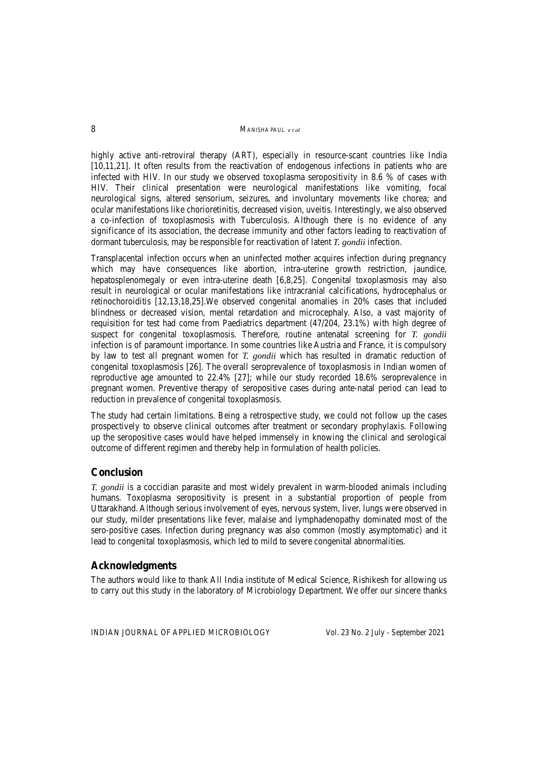8MANISHA PAUL *e t al*

highly active anti-retroviral therapy (ART), especially in resource-scant countries like India [10,11,21]. It often results from the reactivation of endogenous infections in patients who are infected with HIV. In our study we observed toxoplasma seropositivity in 8.6 % of cases with HIV. Their clinical presentation were neurological manifestations like vomiting, focal neurological signs, altered sensorium, seizures, and involuntary movements like chorea; and ocular manifestations like chorioretinitis, decreased vision, uveitis. Interestingly, we also observed a co-infection of toxoplasmosis with Tuberculosis. Although there is no evidence of any significance of its association, the decrease immunity and other factors leading to reactivation of dormant tuberculosis, may be responsible for reactivation of latent *T. gondii* infection.

Transplacental infection occurs when an uninfected mother acquires infection during pregnancy which may have consequences like abortion, intra-uterine growth restriction, jaundice, hepatosplenomegaly or even intra-uterine death [6,8,25]. Congenital toxoplasmosis may also result in neurological or ocular manifestations like intracranial calcifications, hydrocephalus or retinochoroiditis [12,13,18,25].We observed congenital anomalies in 20% cases that included blindness or decreased vision, mental retardation and microcephaly. Also, a vast majority of requisition for test had come from Paediatrics department (47/204, 23.1%) with high degree of suspect for congenital toxoplasmosis. Therefore, routine antenatal screening for *T. gondii*  infection is of paramount importance. In some countries like Austria and France, it is compulsory by law to test all pregnant women for *T. gondii* which has resulted in dramatic reduction of congenital toxoplasmosis [26]. The overall seroprevalence of toxoplasmosis in Indian women of reproductive age amounted to 22.4% [27]; while our study recorded 18.6% seroprevalence in pregnant women. Preventive therapy of seropositive cases during ante-natal period can lead to reduction in prevalence of congenital toxoplasmosis.

The study had certain limitations. Being a retrospective study, we could not follow up the cases prospectively to observe clinical outcomes after treatment or secondary prophylaxis. Following up the seropositive cases would have helped immensely in knowing the clinical and serological outcome of different regimen and thereby help in formulation of health policies.

## **Conclusion**

*T. gondii* is a coccidian parasite and most widely prevalent in warm-blooded animals including humans. Toxoplasma seropositivity is present in a substantial proportion of people from Uttarakhand. Although serious involvement of eyes, nervous system, liver, lungs were observed in our study, milder presentations like fever, malaise and lymphadenopathy dominated most of the sero-positive cases. Infection during pregnancy was also common (mostly asymptomatic) and it lead to congenital toxoplasmosis, which led to mild to severe congenital abnormalities.

## **Acknowledgments**

The authors would like to thank All India institute of Medical Science, Rishikesh for allowing us to carry out this study in the laboratory of Microbiology Department. We offer our sincere thanks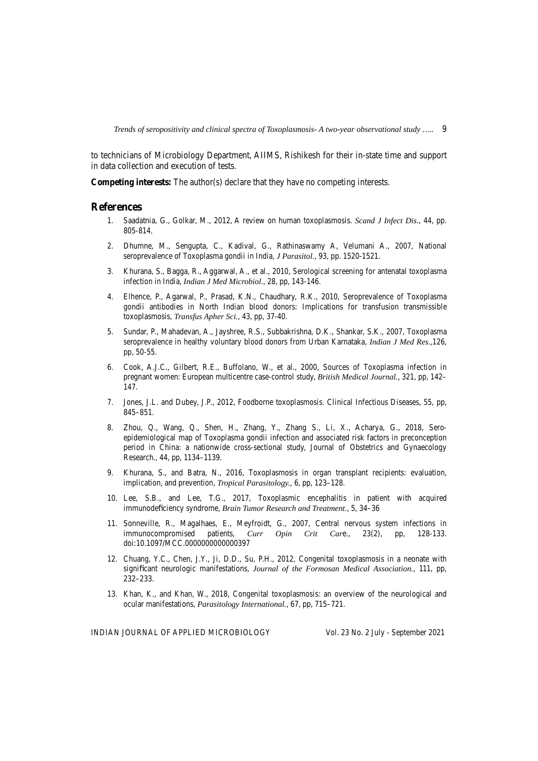*Trends of seropositivity and clinical spectra of Toxoplasmosis- A two-year observational study …..* 9

to technicians of Microbiology Department, AIIMS, Rishikesh for their in-state time and support in data collection and execution of tests.

**Competing interests:** The author(s) declare that they have no competing interests.

#### **References**

- 1. Saadatnia, G., Golkar, M., 2012, A review on human toxoplasmosis. *Scand J Infect Dis*., 44, pp. 805-814.
- 2. Dhumne, M., Sengupta, C., Kadival, G., Rathinaswamy A, Velumani A., 2007, National seroprevalence of Toxoplasma gondii in India, *J Parasitol.,* 93, pp. 1520-1521.
- 3. Khurana, S., Bagga, R., Aggarwal, A., et al., 2010, Serological screening for antenatal toxoplasma infection in India, *Indian J Med Microbiol*., 28, pp, 143-146.
- 4. Elhence, P., Agarwal, P., Prasad, K.N., Chaudhary, R.K., 2010, Seroprevalence of Toxoplasma gondii antibodies in North Indian blood donors: Implications for transfusion transmissible toxoplasmosis, *Transfus Apher Sci.*, 43, pp, 37-40.
- 5. Sundar, P., Mahadevan, A., Jayshree, R.S., Subbakrishna, D.K., Shankar, S.K., 2007, Toxoplasma seroprevalence in healthy voluntary blood donors from Urban Karnataka, *Indian J Med Res.,*126, pp, 50-55.
- 6. Cook, A.J.C., Gilbert, R.E., Buffolano, W., et al., 2000, Sources of Toxoplasma infection in pregnant women: European multicentre case-control study, *British Medical Journal.,* 321, pp, 142– 147.
- 7. Jones, J.L. and Dubey, J.P., 2012, Foodborne toxoplasmosis. Clinical Infectious Diseases, 55, pp, 845–851.
- 8. Zhou, Q., Wang, Q., Shen, H., Zhang, Y., Zhang S., Li, X., Acharya, G., 2018, Seroepidemiological map of Toxoplasma gondii infection and associated risk factors in preconception period in China: a nationwide cross-sectional study, Journal of Obstetrics and Gynaecology Research., 44, pp, 1134–1139.
- 9. Khurana, S., and Batra, N., 2016, Toxoplasmosis in organ transplant recipients: evaluation, implication, and prevention, *Tropical Parasitology.,* 6, pp, 123–128.
- 10. Lee, S.B., and Lee, T.G., 2017, Toxoplasmic encephalitis in patient with acquired immunodeficiency syndrome, *Brain Tumor Research and Treatment.*, 5, 34–36
- 11. Sonneville, R., Magalhaes, E., Meyfroidt, G., 2007, Central nervous system infections in immunocompromised patients, Curr Opin Crit Care., 23(2), pp, 128-133. *Curr Opin Crit Care.*, 23(2), pp, 128-133. doi:10.1097/MCC.0000000000000397
- 12. Chuang, Y.C., Chen, J.Y., Ji, D.D., Su, P.H., 2012, Congenital toxoplasmosis in a neonate with significant neurologic manifestations, *Journal of the Formosan Medical Association.,* 111, pp, 232–233.
- 13. Khan, K., and Khan, W., 2018, Congenital toxoplasmosis: an overview of the neurological and ocular manifestations, *Parasitology International.,* 67, pp, 715–721.